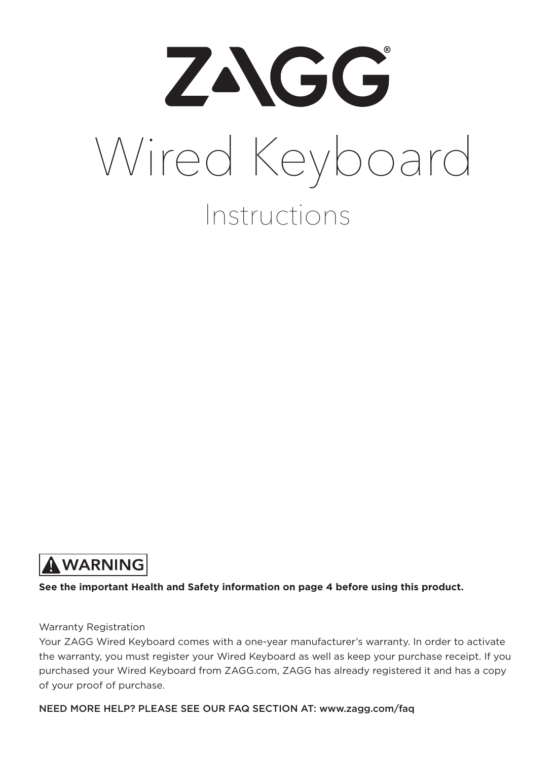

## A WARNING

**See the important Health and Safety information on page 4 before using this product.**

#### Warranty Registration

Your ZAGG Wired Keyboard comes with a one-year manufacturer's warranty. In order to activate the warranty, you must register your Wired Keyboard as well as keep your purchase receipt. If you purchased your Wired Keyboard from ZAGG.com, ZAGG has already registered it and has a copy of your proof of purchase.

NEED MORE HELP? PLEASE SEE OUR FAQ SECTION AT: www.zagg.com/faq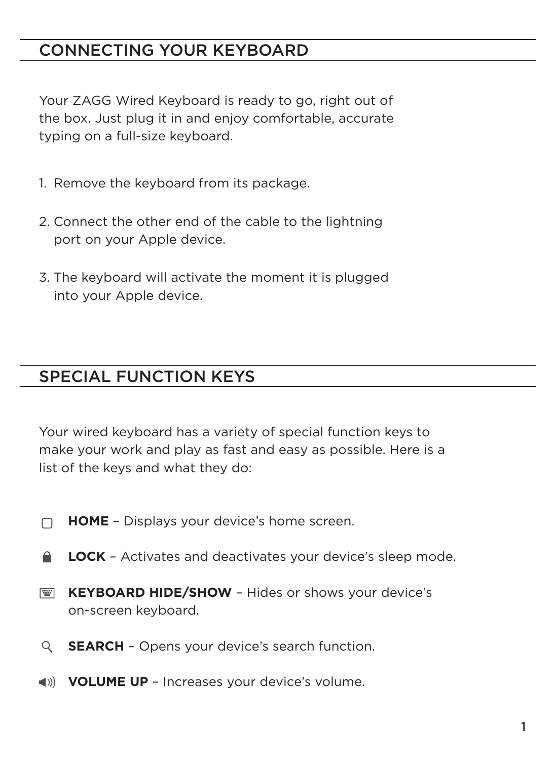## CONNECTING YOUR KEYBOARD

Your ZAGG Wired Keyboard is ready to go, right out of the box. Just plug it in and enjoy comfortable, accurate typing on a full-size keyboard.

- 1. Remove the keyboard from its package.
- 2. Connect the other end of the cable to the lightning port on your Apple device.
- 3. The keyboard will activate the moment it is plugged into your Apple device.

### SPECIAL FUNCTION KEYS

Your wired keyboard has a variety of special function keys to make your work and play as fast and easy as possible. Here is a list of the keys and what they do:

- $\Box$ **HOME** – Displays your device's home screen.
- ≏ **LOCK** – Activates and deactivates your device's sleep mode.
- **PERSONAL KEYBOARD HIDE/SHOW** – Hides or shows your device's on-screen keyboard.
- Q **SEARCH** – Opens your device's search function.
- **VOLUME UP** Increases your device's volume.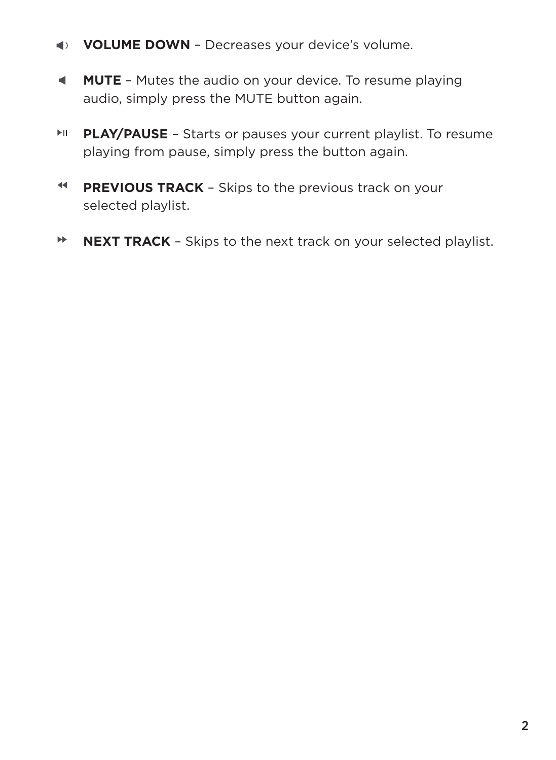- **VOLUME DOWN** Decreases your device's volume.
- **MUTE** Mutes the audio on your device. To resume playing audio, simply press the MUTE button again.
- $\mathbb{H}$ **PLAY/PAUSE** – Starts or pauses your current playlist. To resume playing from pause, simply press the button again.
- $\blacktriangleleft$ **PREVIOUS TRACK** - Skips to the previous track on your selected playlist.
- $\blacktriangleright\blacktriangleright$ **NEXT TRACK** – Skips to the next track on your selected playlist.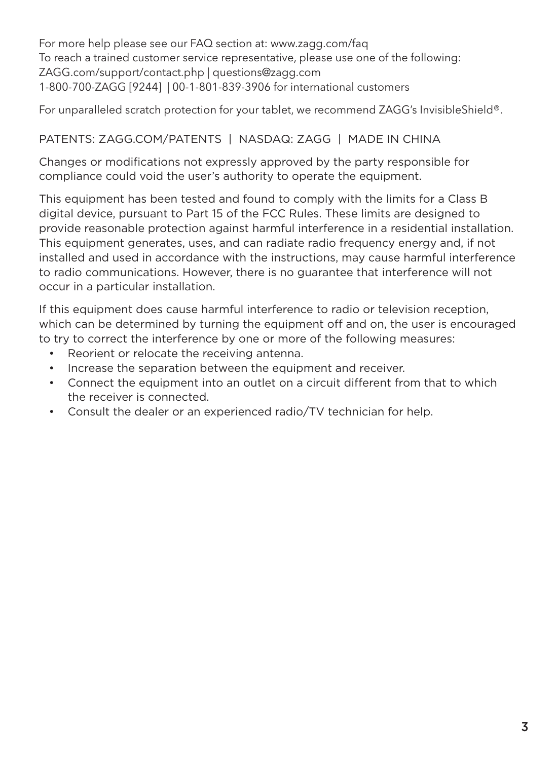For more help please see our FAQ section at: www.zagg.com/faq To reach a trained customer service representative, please use one of the following: ZAGG.com/support/contact.php | questions@zagg.com 1-800-700-ZAGG [9244] | 00-1-801-839-3906 for international customers

For unparalleled scratch protection for your tablet, we recommend ZAGG's InvisibleShield®.

#### PATENTS: ZAGG.COM/PATENTS | NASDAQ: ZAGG | MADE IN CHINA

Changes or modifications not expressly approved by the party responsible for compliance could void the user's authority to operate the equipment.

This equipment has been tested and found to comply with the limits for a Class B digital device, pursuant to Part 15 of the FCC Rules. These limits are designed to provide reasonable protection against harmful interference in a residential installation. This equipment generates, uses, and can radiate radio frequency energy and, if not installed and used in accordance with the instructions, may cause harmful interference to radio communications. However, there is no guarantee that interference will not occur in a particular installation.

If this equipment does cause harmful interference to radio or television reception, which can be determined by turning the equipment off and on, the user is encouraged to try to correct the interference by one or more of the following measures:

- Reorient or relocate the receiving antenna.
- Increase the separation between the equipment and receiver.
- Connect the equipment into an outlet on a circuit different from that to which the receiver is connected.
- Consult the dealer or an experienced radio/TV technician for help.